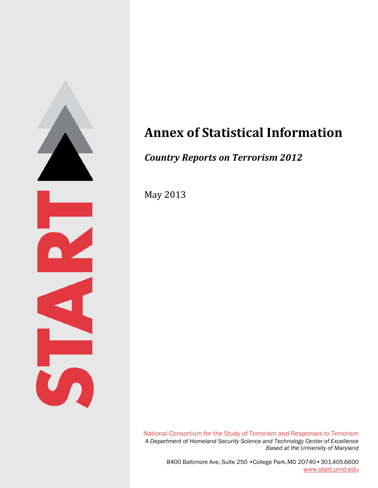

# **Annex of Statistical Information**

# *Country Reports on Terrorism 2012*

May 2013

National Consortium for the Study of Terrorism and Responses to Terrorism *A Department of Homeland Security Science and Technology Center of Excellence Based at the University of Maryland*

> 8400 Baltimore Ave, Suite 250 •College Park, MD 20740•301.405.6600 [www.start.umd.edu](http://www.start.umd.edu/)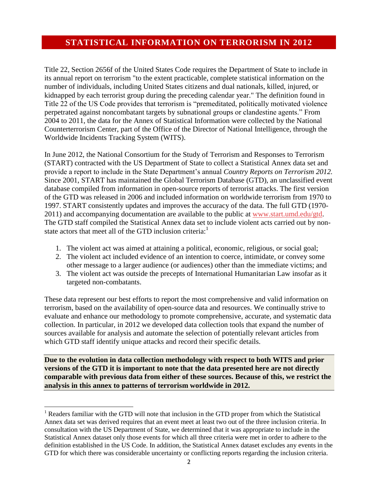### **STATISTICAL INFORMATION ON TERRORISM IN 2012**

Title 22, Section 2656f of the United States Code requires the Department of State to include in its annual report on terrorism "to the extent practicable, complete statistical information on the number of individuals, including United States citizens and dual nationals, killed, injured, or kidnapped by each terrorist group during the preceding calendar year." The definition found in Title 22 of the US Code provides that terrorism is "premeditated, politically motivated violence perpetrated against noncombatant targets by subnational groups or clandestine agents." From 2004 to 2011, the data for the Annex of Statistical Information were collected by the National Counterterrorism Center, part of the Office of the Director of National Intelligence, through the Worldwide Incidents Tracking System (WITS).

In June 2012, the National Consortium for the Study of Terrorism and Responses to Terrorism (START) contracted with the US Department of State to collect a Statistical Annex data set and provide a report to include in the State Department's annual *Country Reports on Terrorism 2012.*  Since 2001, START has maintained the Global Terrorism Database (GTD), an unclassified event database compiled from information in open-source reports of terrorist attacks. The first version of the GTD was released in 2006 and included information on worldwide terrorism from 1970 to 1997. START consistently updates and improves the accuracy of the data. The full GTD (1970 2011) and accompanying documentation are available to the public at [www.start.umd.edu/gtd.](http://www.start.umd.edu/gtd) The GTD staff compiled the Statistical Annex data set to include violent acts carried out by nonstate actors that meet all of the GTD inclusion criteria:<sup>1</sup>

- 1. The violent act was aimed at attaining a political, economic, religious, or social goal;
- 2. The violent act included evidence of an intention to coerce, intimidate, or convey some other message to a larger audience (or audiences) other than the immediate victims; and
- 3. The violent act was outside the precepts of International Humanitarian Law insofar as it targeted non-combatants.

These data represent our best efforts to report the most comprehensive and valid information on terrorism, based on the availability of open-source data and resources. We continually strive to evaluate and enhance our methodology to promote comprehensive, accurate, and systematic data collection. In particular, in 2012 we developed data collection tools that expand the number of sources available for analysis and automate the selection of potentially relevant articles from which GTD staff identify unique attacks and record their specific details.

**Due to the evolution in data collection methodology with respect to both WITS and prior versions of the GTD it is important to note that the data presented here are not directly comparable with previous data from either of these sources. Because of this, we restrict the analysis in this annex to patterns of terrorism worldwide in 2012.**

 $\overline{\phantom{a}}$ 

<sup>&</sup>lt;sup>1</sup> Readers familiar with the GTD will note that inclusion in the GTD proper from which the Statistical Annex data set was derived requires that an event meet at least two out of the three inclusion criteria. In consultation with the US Department of State, we determined that it was appropriate to include in the Statistical Annex dataset only those events for which all three criteria were met in order to adhere to the definition established in the US Code. In addition, the Statistical Annex dataset excludes any events in the GTD for which there was considerable uncertainty or conflicting reports regarding the inclusion criteria.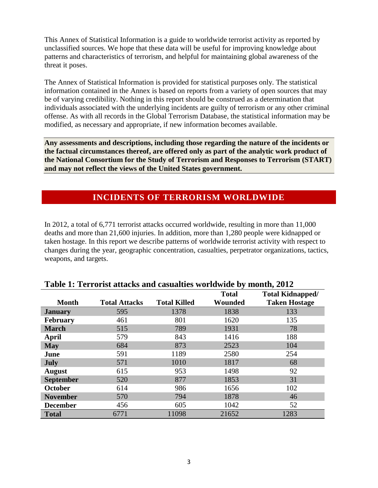This Annex of Statistical Information is a guide to worldwide terrorist activity as reported by unclassified sources. We hope that these data will be useful for improving knowledge about patterns and characteristics of terrorism, and helpful for maintaining global awareness of the threat it poses.

The Annex of Statistical Information is provided for statistical purposes only. The statistical information contained in the Annex is based on reports from a variety of open sources that may be of varying credibility. Nothing in this report should be construed as a determination that individuals associated with the underlying incidents are guilty of terrorism or any other criminal offense. As with all records in the Global Terrorism Database, the statistical information may be modified, as necessary and appropriate, if new information becomes available.

**Any assessments and descriptions, including those regarding the nature of the incidents or the factual circumstances thereof, are offered only as part of the analytic work product of the National Consortium for the Study of Terrorism and Responses to Terrorism (START) and may not reflect the views of the United States government.**

### **INCIDENTS OF TERRORISM WORLDWIDE**

In 2012, a total of 6,771 terrorist attacks occurred worldwide, resulting in more than 11,000 deaths and more than 21,600 injuries. In addition, more than 1,280 people were kidnapped or taken hostage. In this report we describe patterns of worldwide terrorist activity with respect to changes during the year, geographic concentration, casualties, perpetrator organizations, tactics, weapons, and targets.

|                  |                      |                     | <b>Total</b> | <b>Total Kidnapped/</b> |
|------------------|----------------------|---------------------|--------------|-------------------------|
| <b>Month</b>     | <b>Total Attacks</b> | <b>Total Killed</b> | Wounded      | <b>Taken Hostage</b>    |
| <b>January</b>   | 595                  | 1378                | 1838         | 133                     |
| <b>February</b>  | 461                  | 801                 | 1620         | 135                     |
| <b>March</b>     | 515                  | 789                 | 1931         | 78                      |
| April            | 579                  | 843                 | 1416         | 188                     |
| <b>May</b>       | 684                  | 873                 | 2523         | 104                     |
| June             | 591                  | 1189                | 2580         | 254                     |
| <b>July</b>      | 571                  | 1010                | 1817         | 68                      |
| <b>August</b>    | 615                  | 953                 | 1498         | 92                      |
| <b>September</b> | 520                  | 877                 | 1853         | 31                      |
| <b>October</b>   | 614                  | 986                 | 1656         | 102                     |
| <b>November</b>  | 570                  | 794                 | 1878         | 46                      |
| <b>December</b>  | 456                  | 605                 | 1042         | 52                      |
| <b>Total</b>     | 6771                 | 11098               | 21652        | 1283                    |

#### **Table 1: Terrorist attacks and casualties worldwide by month, 2012**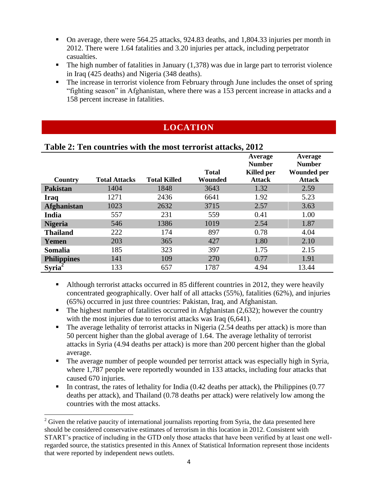- On average, there were 564.25 attacks, 924.83 deaths, and 1,804.33 injuries per month in 2012. There were 1.64 fatalities and 3.20 injuries per attack, including perpetrator casualties.
- The high number of fatalities in January  $(1,378)$  was due in large part to terrorist violence in Iraq (425 deaths) and Nigeria (348 deaths).
- The increase in terrorist violence from February through June includes the onset of spring "fighting season" in Afghanistan, where there was a 153 percent increase in attacks and a 158 percent increase in fatalities.

# **LOCATION**

|                    | Tubic 2. Ten countries with the most terrorist attacher 2012 |                     |              |                                        |                                                |
|--------------------|--------------------------------------------------------------|---------------------|--------------|----------------------------------------|------------------------------------------------|
|                    |                                                              |                     | <b>Total</b> | Average<br><b>Number</b><br>Killed per | Average<br><b>Number</b><br><b>Wounded per</b> |
| Country            | <b>Total Attacks</b>                                         | <b>Total Killed</b> | Wounded      | <b>Attack</b>                          | <b>Attack</b>                                  |
| <b>Pakistan</b>    | 1404                                                         | 1848                | 3643         | 1.32                                   | 2.59                                           |
| <b>Iraq</b>        | 1271                                                         | 2436                | 6641         | 1.92                                   | 5.23                                           |
| <b>Afghanistan</b> | 1023                                                         | 2632                | 3715         | 2.57                                   | 3.63                                           |
| India              | 557                                                          | 231                 | 559          | 0.41                                   | 1.00                                           |
| <b>Nigeria</b>     | 546                                                          | 1386                | 1019         | 2.54                                   | 1.87                                           |
| <b>Thailand</b>    | 222                                                          | 174                 | 897          | 0.78                                   | 4.04                                           |
| Yemen              | 203                                                          | 365                 | 427          | 1.80                                   | 2.10                                           |
| <b>Somalia</b>     | 185                                                          | 323                 | 397          | 1.75                                   | 2.15                                           |
| <b>Philippines</b> | 141                                                          | 109                 | 270          | 0.77                                   | 1.91                                           |
| <b>Syria</b>       | 133                                                          | 657                 | 1787         | 4.94                                   | 13.44                                          |

#### **Table 2: Ten countries with the most terrorist attacks, 2012**

- Although terrorist attacks occurred in 85 different countries in 2012, they were heavily concentrated geographically. Over half of all attacks (55%), fatalities (62%), and injuries (65%) occurred in just three countries: Pakistan, Iraq, and Afghanistan.
- $\blacksquare$  The highest number of fatalities occurred in Afghanistan (2,632); however the country with the most injuries due to terrorist attacks was Iraq  $(6,641)$ .
- The average lethality of terrorist attacks in Nigeria (2.54 deaths per attack) is more than 50 percent higher than the global average of 1.64. The average lethality of terrorist attacks in Syria (4.94 deaths per attack) is more than 200 percent higher than the global average.
- The average number of people wounded per terrorist attack was especially high in Syria, where 1,787 people were reportedly wounded in 133 attacks, including four attacks that caused 670 injuries.
- In contrast, the rates of lethality for India  $(0.42 \text{ deaths per attack})$ , the Philippines  $(0.77 \text{ cents})$ deaths per attack), and Thailand (0.78 deaths per attack) were relatively low among the countries with the most attacks.

l  $2^2$  Given the relative paucity of international journalists reporting from Syria, the data presented here should be considered conservative estimates of terrorism in this location in 2012. Consistent with START's practice of including in the GTD only those attacks that have been verified by at least one wellregarded source, the statistics presented in this Annex of Statistical Information represent those incidents that were reported by independent news outlets.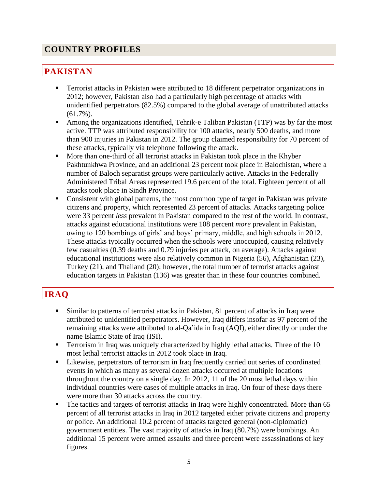# **COUNTRY PROFILES**

# **PAKISTAN**

- Terrorist attacks in Pakistan were attributed to 18 different perpetrator organizations in 2012; however, Pakistan also had a particularly high percentage of attacks with unidentified perpetrators (82.5%) compared to the global average of unattributed attacks (61.7%).
- Among the organizations identified, Tehrik-e Taliban Pakistan (TTP) was by far the most active. TTP was attributed responsibility for 100 attacks, nearly 500 deaths, and more than 900 injuries in Pakistan in 2012. The group claimed responsibility for 70 percent of these attacks, typically via telephone following the attack.
- **More than one-third of all terrorist attacks in Pakistan took place in the Khyber** Pakhtunkhwa Province, and an additional 23 percent took place in Balochistan, where a number of Baloch separatist groups were particularly active. Attacks in the Federally Administered Tribal Areas represented 19.6 percent of the total. Eighteen percent of all attacks took place in Sindh Province.
- Consistent with global patterns, the most common type of target in Pakistan was private citizens and property, which represented 23 percent of attacks. Attacks targeting police were 33 percent *less* prevalent in Pakistan compared to the rest of the world. In contrast, attacks against educational institutions were 108 percent *more* prevalent in Pakistan, owing to 120 bombings of girls' and boys' primary, middle, and high schools in 2012. These attacks typically occurred when the schools were unoccupied, causing relatively few casualties (0.39 deaths and 0.79 injuries per attack, on average). Attacks against educational institutions were also relatively common in Nigeria (56), Afghanistan (23), Turkey (21), and Thailand (20); however, the total number of terrorist attacks against education targets in Pakistan (136) was greater than in these four countries combined.

# **IRAQ**

- Similar to patterns of terrorist attacks in Pakistan, 81 percent of attacks in Iraq were attributed to unidentified perpetrators. However, Iraq differs insofar as 97 percent of the remaining attacks were attributed to al-Qa'ida in Iraq (AQI), either directly or under the name Islamic State of Iraq (ISI).
- **Terrorism in Iraq was uniquely characterized by highly lethal attacks. Three of the 10** most lethal terrorist attacks in 2012 took place in Iraq.
- Likewise, perpetrators of terrorism in Iraq frequently carried out series of coordinated events in which as many as several dozen attacks occurred at multiple locations throughout the country on a single day. In 2012, 11 of the 20 most lethal days within individual countries were cases of multiple attacks in Iraq. On four of these days there were more than 30 attacks across the country.
- The tactics and targets of terrorist attacks in Iraq were highly concentrated. More than 65 percent of all terrorist attacks in Iraq in 2012 targeted either private citizens and property or police. An additional 10.2 percent of attacks targeted general (non-diplomatic) government entities. The vast majority of attacks in Iraq (80.7%) were bombings. An additional 15 percent were armed assaults and three percent were assassinations of key figures.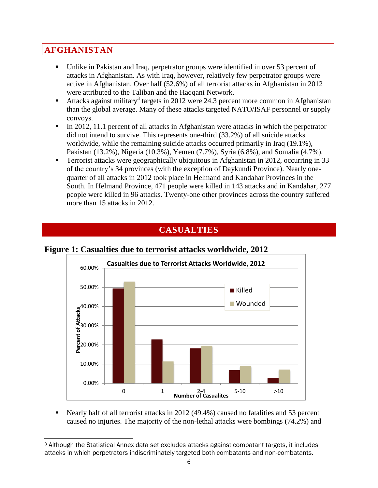# **AFGHANISTAN**

- Unlike in Pakistan and Iraq, perpetrator groups were identified in over 53 percent of attacks in Afghanistan. As with Iraq, however, relatively few perpetrator groups were active in Afghanistan. Over half (52.6%) of all terrorist attacks in Afghanistan in 2012 were attributed to the Taliban and the Haqqani Network.
- Attacks against military<sup>3</sup> targets in 2012 were 24.3 percent more common in Afghanistan than the global average. Many of these attacks targeted NATO/ISAF personnel or supply convoys.
- In 2012, 11.1 percent of all attacks in Afghanistan were attacks in which the perpetrator did not intend to survive. This represents one-third (33.2%) of all suicide attacks worldwide, while the remaining suicide attacks occurred primarily in Iraq (19.1%), Pakistan (13.2%), Nigeria (10.3%), Yemen (7.7%), Syria (6.8%), and Somalia (4.7%).
- Terrorist attacks were geographically ubiquitous in Afghanistan in 2012, occurring in 33 of the country's 34 provinces (with the exception of Daykundi Province). Nearly onequarter of all attacks in 2012 took place in Helmand and Kandahar Provinces in the South. In Helmand Province, 471 people were killed in 143 attacks and in Kandahar, 277 people were killed in 96 attacks. Twenty-one other provinces across the country suffered more than 15 attacks in 2012.

# **CASUALTIES**



#### **Figure 1: Casualties due to terrorist attacks worldwide, 2012**

 Nearly half of all terrorist attacks in 2012 (49.4%) caused no fatalities and 53 percent caused no injuries. The majority of the non-lethal attacks were bombings (74.2%) and

l <sup>3</sup> Although the Statistical Annex data set excludes attacks against combatant targets, it includes attacks in which perpetrators indiscriminately targeted both combatants and non-combatants.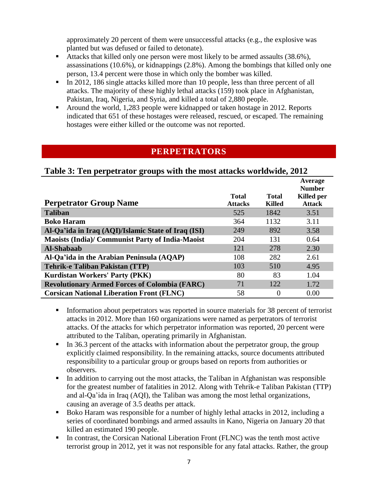approximately 20 percent of them were unsuccessful attacks (e.g., the explosive was planted but was defused or failed to detonate).

- Attacks that killed only one person were most likely to be armed assaults (38.6%), assassinations (10.6%), or kidnappings (2.8%). Among the bombings that killed only one person, 13.4 percent were those in which only the bomber was killed.
- In 2012, 186 single attacks killed more than 10 people, less than three percent of all attacks. The majority of these highly lethal attacks (159) took place in Afghanistan, Pakistan, Iraq, Nigeria, and Syria, and killed a total of 2,880 people.
- Around the world, 1,283 people were kidnapped or taken hostage in 2012. Reports indicated that 651 of these hostages were released, rescued, or escaped. The remaining hostages were either killed or the outcome was not reported.

# **PERPETRATORS**

#### **Table 3: Ten perpetrator groups with the most attacks worldwide, 2012**

|                                                         |                |               | Average<br><b>Number</b> |
|---------------------------------------------------------|----------------|---------------|--------------------------|
| <b>Perpetrator Group Name</b>                           | <b>Total</b>   | <b>Total</b>  | <b>Killed</b> per        |
|                                                         | <b>Attacks</b> | <b>Killed</b> | <b>Attack</b>            |
| <b>Taliban</b>                                          | 525            | 1842          | 3.51                     |
| <b>Boko Haram</b>                                       | 364            | 1132          | 3.11                     |
| Al-Qa'ida in Iraq (AQI)/Islamic State of Iraq (ISI)     | 249            | 892           | 3.58                     |
| <b>Maoists (India)/ Communist Party of India-Maoist</b> | 204            | 131           | 0.64                     |
| Al-Shabaab                                              | 121            | 278           | 2.30                     |
| Al-Qa'ida in the Arabian Peninsula (AQAP)               | 108            | 282           | 2.61                     |
| <b>Tehrik-e Taliban Pakistan (TTP)</b>                  | 103            | 510           | 4.95                     |
| <b>Kurdistan Workers' Party (PKK)</b>                   | 80             | 83            | 1.04                     |
| <b>Revolutionary Armed Forces of Colombia (FARC)</b>    | 71             | 122           | 1.72                     |
| <b>Corsican National Liberation Front (FLNC)</b>        | 58             | 0             | 0.00                     |

- Information about perpetrators was reported in source materials for 38 percent of terrorist attacks in 2012. More than 160 organizations were named as perpetrators of terrorist attacks. Of the attacks for which perpetrator information was reported, 20 percent were attributed to the Taliban, operating primarily in Afghanistan.
- In 36.3 percent of the attacks with information about the perpetrator group, the group explicitly claimed responsibility. In the remaining attacks, source documents attributed responsibility to a particular group or groups based on reports from authorities or observers.
- In addition to carrying out the most attacks, the Taliban in Afghanistan was responsible for the greatest number of fatalities in 2012. Along with Tehrik-e Taliban Pakistan (TTP) and al-Qa'ida in Iraq (AQI), the Taliban was among the most lethal organizations, causing an average of 3.5 deaths per attack.
- Boko Haram was responsible for a number of highly lethal attacks in 2012, including a series of coordinated bombings and armed assaults in Kano, Nigeria on January 20 that killed an estimated 190 people.
- In contrast, the Corsican National Liberation Front (FLNC) was the tenth most active terrorist group in 2012, yet it was not responsible for any fatal attacks. Rather, the group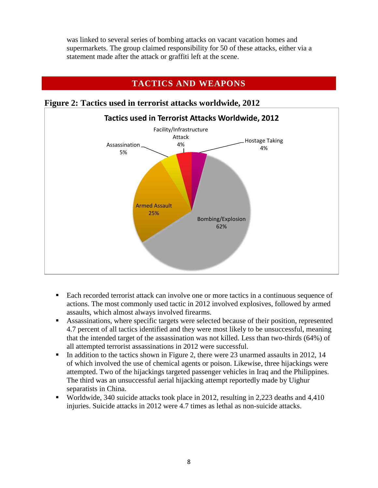was linked to several series of bombing attacks on vacant vacation homes and supermarkets. The group claimed responsibility for 50 of these attacks, either via a statement made after the attack or graffiti left at the scene.

#### **TACTICS AND WEAPONS**



**Figure 2: Tactics used in terrorist attacks worldwide, 2012**

- Each recorded terrorist attack can involve one or more tactics in a continuous sequence of actions. The most commonly used tactic in 2012 involved explosives, followed by armed assaults, which almost always involved firearms.
- Assassinations, where specific targets were selected because of their position, represented 4.7 percent of all tactics identified and they were most likely to be unsuccessful, meaning that the intended target of the assassination was not killed. Less than two-thirds (64%) of all attempted terrorist assassinations in 2012 were successful.
- In addition to the tactics shown in Figure 2, there were 23 unarmed assaults in 2012, 14 of which involved the use of chemical agents or poison. Likewise, three hijackings were attempted. Two of the hijackings targeted passenger vehicles in Iraq and the Philippines. The third was an unsuccessful aerial hijacking attempt reportedly made by Uighur separatists in China.
- Worldwide, 340 suicide attacks took place in 2012, resulting in 2,223 deaths and 4,410 injuries. Suicide attacks in 2012 were 4.7 times as lethal as non-suicide attacks.